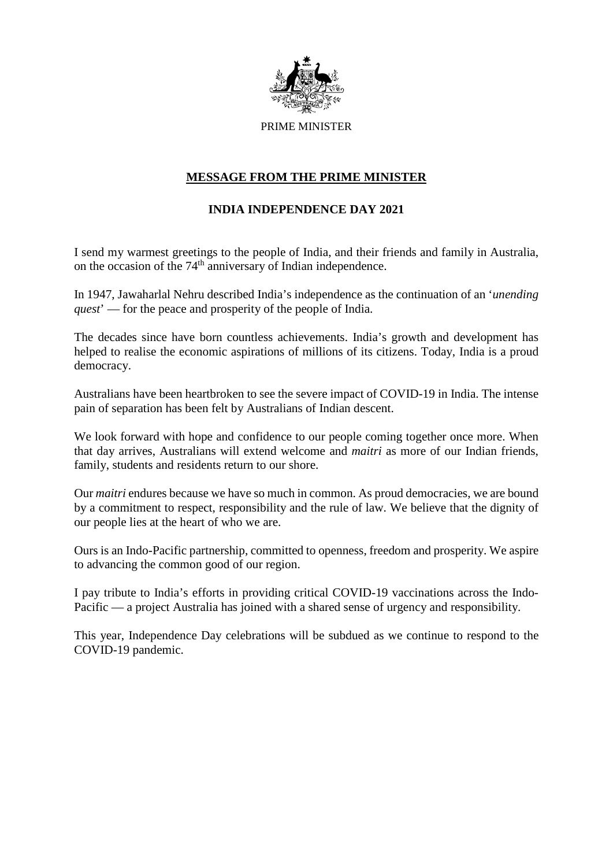

## **MESSAGE FROM THE PRIME MINISTER**

## **INDIA INDEPENDENCE DAY 2021**

I send my warmest greetings to the people of India, and their friends and family in Australia, on the occasion of the 74th anniversary of Indian independence.

In 1947, Jawaharlal Nehru described India's independence as the continuation of an '*unending quest*' — for the peace and prosperity of the people of India.

The decades since have born countless achievements. India's growth and development has helped to realise the economic aspirations of millions of its citizens. Today, India is a proud democracy.

Australians have been heartbroken to see the severe impact of COVID-19 in India. The intense pain of separation has been felt by Australians of Indian descent.

We look forward with hope and confidence to our people coming together once more. When that day arrives, Australians will extend welcome and *maitri* as more of our Indian friends, family, students and residents return to our shore.

Our *maitri* endures because we have so much in common. As proud democracies, we are bound by a commitment to respect, responsibility and the rule of law. We believe that the dignity of our people lies at the heart of who we are.

Ours is an Indo-Pacific partnership, committed to openness, freedom and prosperity. We aspire to advancing the common good of our region.

I pay tribute to India's efforts in providing critical COVID-19 vaccinations across the Indo-Pacific — a project Australia has joined with a shared sense of urgency and responsibility.

This year, Independence Day celebrations will be subdued as we continue to respond to the COVID-19 pandemic.